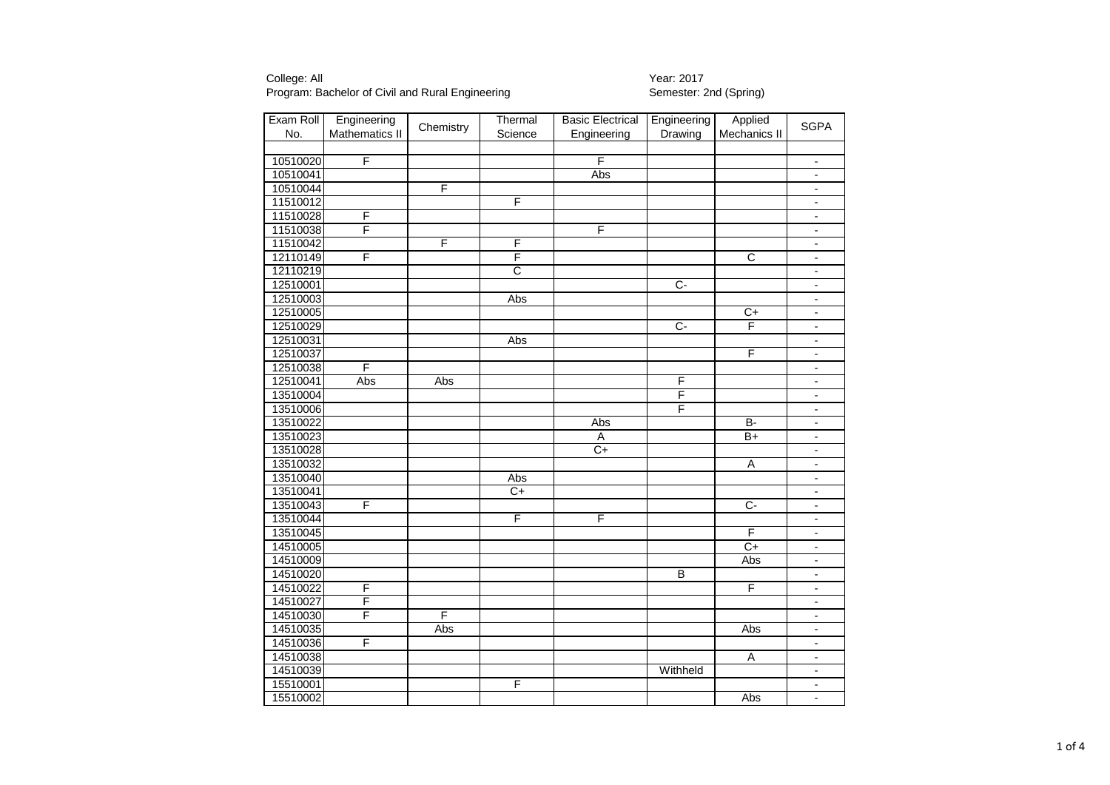| Exam Roll | Engineering    | Chemistry | Thermal               | <b>Basic Electrical</b> | Engineering    | Applied                 | <b>SGPA</b>                  |
|-----------|----------------|-----------|-----------------------|-------------------------|----------------|-------------------------|------------------------------|
| No.       | Mathematics II |           | Science               | Engineering             | Drawing        | Mechanics II            |                              |
|           |                |           |                       |                         |                |                         |                              |
| 10510020  | F              |           |                       | F                       |                |                         | $\overline{\phantom{a}}$     |
| 10510041  |                |           |                       | Abs                     |                |                         |                              |
| 10510044  |                | F         |                       |                         |                |                         | $\overline{\phantom{a}}$     |
| 11510012  |                |           | F                     |                         |                |                         | $\overline{\phantom{a}}$     |
| 11510028  | F              |           |                       |                         |                |                         | $\overline{\phantom{a}}$     |
| 11510038  | F              |           |                       | F                       |                |                         | $\overline{\phantom{a}}$     |
| 11510042  |                | F         | F                     |                         |                |                         | $\overline{\phantom{a}}$     |
| 12110149  | F              |           | F                     |                         |                | $\overline{C}$          | $\overline{\phantom{a}}$     |
| 12110219  |                |           | $\overline{\text{c}}$ |                         |                |                         | $\blacksquare$               |
| 12510001  |                |           |                       |                         | $\overline{C}$ |                         | $\blacksquare$               |
| 12510003  |                |           | Abs                   |                         |                |                         | $\overline{\phantom{a}}$     |
| 12510005  |                |           |                       |                         |                | $C+$                    | $\overline{\phantom{a}}$     |
| 12510029  |                |           |                       |                         | $\overline{C}$ | F                       | $\qquad \qquad \blacksquare$ |
| 12510031  |                |           | Abs                   |                         |                |                         | $\overline{\phantom{a}}$     |
| 12510037  |                |           |                       |                         |                | F                       | $\overline{\phantom{a}}$     |
| 12510038  | F              |           |                       |                         |                |                         | $\overline{\phantom{a}}$     |
| 12510041  | Abs            | Abs       |                       |                         | F              |                         | $\overline{\phantom{a}}$     |
| 13510004  |                |           |                       |                         | F              |                         | $\overline{\phantom{a}}$     |
| 13510006  |                |           |                       |                         | F              |                         | $\blacksquare$               |
| 13510022  |                |           |                       | Abs                     |                | B-                      | $\overline{\phantom{a}}$     |
| 13510023  |                |           |                       | Α                       |                | $B+$                    | $\overline{a}$               |
| 13510028  |                |           |                       | $C+$                    |                |                         | $\overline{\phantom{a}}$     |
| 13510032  |                |           |                       |                         |                | Α                       | $\overline{\phantom{a}}$     |
| 13510040  |                |           | Abs                   |                         |                |                         | $\overline{\phantom{a}}$     |
| 13510041  |                |           | C+                    |                         |                |                         | ٠                            |
| 13510043  | F              |           |                       |                         |                | $\overline{C}$          | $\overline{\phantom{a}}$     |
| 13510044  |                |           | F                     | F                       |                |                         | $\overline{\phantom{a}}$     |
| 13510045  |                |           |                       |                         |                | F                       | $\overline{\phantom{a}}$     |
| 14510005  |                |           |                       |                         |                | $C+$                    | $\overline{\phantom{a}}$     |
| 14510009  |                |           |                       |                         |                | Abs                     | $\overline{\phantom{a}}$     |
| 14510020  |                |           |                       |                         | B              |                         | $\overline{\phantom{a}}$     |
| 14510022  | F              |           |                       |                         |                | $\overline{\mathsf{F}}$ | $\blacksquare$               |
| 14510027  | F              |           |                       |                         |                |                         | $\blacksquare$               |
| 14510030  | F              | F         |                       |                         |                |                         | $\overline{\phantom{a}}$     |
| 14510035  |                | Abs       |                       |                         |                | Abs                     | $\overline{\phantom{a}}$     |
| 14510036  | F              |           |                       |                         |                |                         | $\overline{a}$               |
| 14510038  |                |           |                       |                         |                | $\overline{A}$          | $\overline{\phantom{a}}$     |
| 14510039  |                |           |                       |                         | Withheld       |                         | $\overline{\phantom{a}}$     |
| 15510001  |                |           | F                     |                         |                |                         | $\overline{\phantom{a}}$     |
| 15510002  |                |           |                       |                         |                | Abs                     | $\overline{\phantom{a}}$     |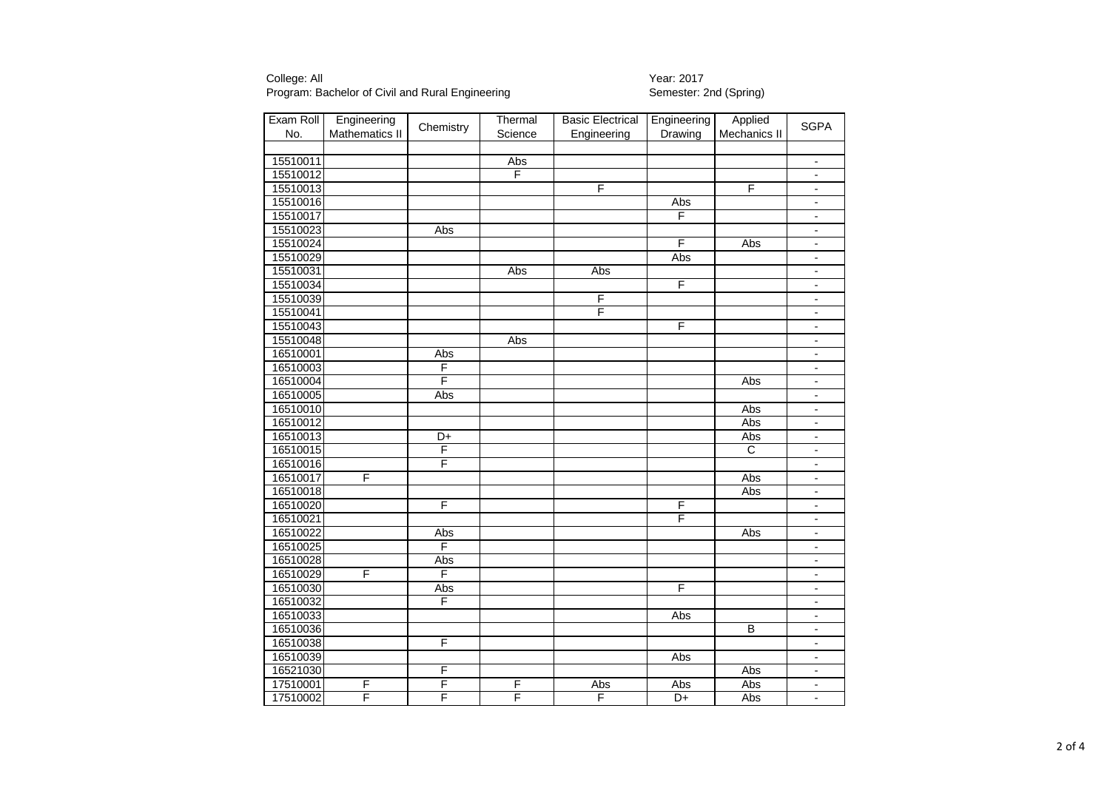| Exam Roll | Engineering    | Chemistry | Thermal | <b>Basic Electrical</b> | Engineering     | Applied               | <b>SGPA</b>              |
|-----------|----------------|-----------|---------|-------------------------|-----------------|-----------------------|--------------------------|
| No.       | Mathematics II |           | Science | Engineering             | Drawing         | Mechanics II          |                          |
|           |                |           |         |                         |                 |                       |                          |
| 15510011  |                |           | Abs     |                         |                 |                       | $\overline{\phantom{a}}$ |
| 15510012  |                |           | F       |                         |                 |                       |                          |
| 15510013  |                |           |         | F                       |                 | F                     | $\overline{\phantom{a}}$ |
| 15510016  |                |           |         |                         | Abs             |                       | $\overline{\phantom{a}}$ |
| 15510017  |                |           |         |                         | F               |                       | $\overline{\phantom{a}}$ |
| 15510023  |                | Abs       |         |                         |                 |                       | $\overline{\phantom{a}}$ |
| 15510024  |                |           |         |                         | F               | Abs                   | $\overline{\phantom{a}}$ |
| 15510029  |                |           |         |                         | Abs             |                       | $\overline{\phantom{a}}$ |
| 15510031  |                |           | Abs     | Abs                     |                 |                       | $\overline{\phantom{a}}$ |
| 15510034  |                |           |         |                         | F               |                       | $\blacksquare$           |
| 15510039  |                |           |         | F                       |                 |                       | $\overline{\phantom{a}}$ |
| 15510041  |                |           |         | F                       |                 |                       | $\overline{\phantom{a}}$ |
| 15510043  |                |           |         |                         | F               |                       | $\blacksquare$           |
| 15510048  |                |           | Abs     |                         |                 |                       | $\blacksquare$           |
| 16510001  |                | Abs       |         |                         |                 |                       | $\overline{\phantom{a}}$ |
| 16510003  |                | F         |         |                         |                 |                       | $\blacksquare$           |
| 16510004  |                | F         |         |                         |                 | Abs                   | $\overline{\phantom{a}}$ |
| 16510005  |                | Abs       |         |                         |                 |                       | $\blacksquare$           |
| 16510010  |                |           |         |                         |                 | Abs                   | $\overline{\phantom{a}}$ |
| 16510012  |                |           |         |                         |                 | Abs                   | $\overline{\phantom{a}}$ |
| 16510013  |                | D+        |         |                         |                 | Abs                   | $\overline{\phantom{a}}$ |
| 16510015  |                | F         |         |                         |                 | $\overline{\text{c}}$ | $\overline{\phantom{a}}$ |
| 16510016  |                | F         |         |                         |                 |                       | $\overline{\phantom{a}}$ |
| 16510017  | F              |           |         |                         |                 | Abs                   | $\overline{\phantom{a}}$ |
| 16510018  |                |           |         |                         |                 | Abs                   | $\overline{\phantom{a}}$ |
| 16510020  |                | F         |         |                         | F               |                       | $\overline{\phantom{a}}$ |
| 16510021  |                |           |         |                         | F               |                       | $\overline{\phantom{a}}$ |
| 16510022  |                | Abs       |         |                         |                 | Abs                   | $\overline{\phantom{a}}$ |
| 16510025  |                | F         |         |                         |                 |                       | $\blacksquare$           |
| 16510028  |                | Abs       |         |                         |                 |                       | $\overline{\phantom{a}}$ |
| 16510029  | F              | F         |         |                         |                 |                       | $\overline{\phantom{a}}$ |
| 16510030  |                | Abs       |         |                         | F               |                       | $\blacksquare$           |
| 16510032  |                | F         |         |                         |                 |                       | $\blacksquare$           |
| 16510033  |                |           |         |                         | Abs             |                       | $\overline{\phantom{a}}$ |
| 16510036  |                |           |         |                         |                 | $\overline{B}$        | $\overline{\phantom{a}}$ |
| 16510038  |                | F         |         |                         |                 |                       | ÷,                       |
| 16510039  |                |           |         |                         | Abs             |                       | $\blacksquare$           |
| 16521030  |                | F         |         |                         |                 | Abs                   | $\overline{\phantom{a}}$ |
| 17510001  | F              | F         | F       | Abs                     | Abs             | Abs                   | $\overline{\phantom{a}}$ |
| 17510002  | F              | F         | F       | F                       | $\overline{D+}$ | Abs                   | $\overline{a}$           |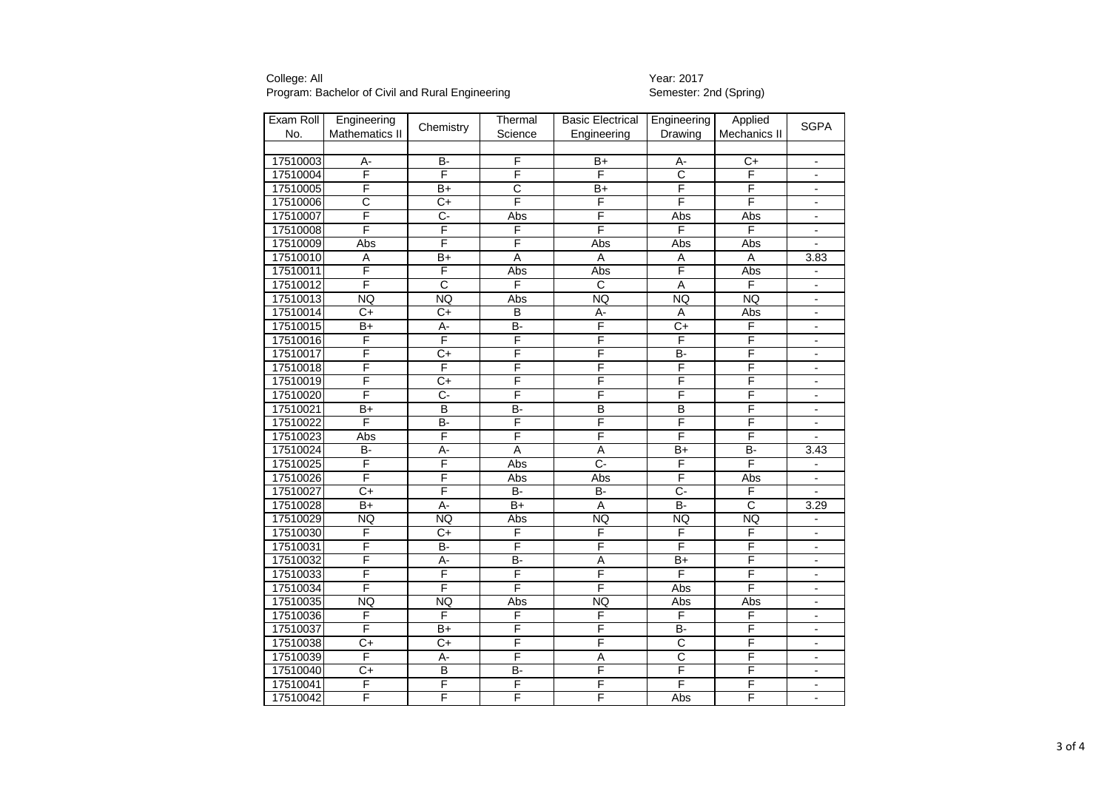| Exam Roll | Engineering     | Chemistry               | Thermal        | <b>Basic Electrical</b> | Engineering           | Applied               | <b>SGPA</b>                  |
|-----------|-----------------|-------------------------|----------------|-------------------------|-----------------------|-----------------------|------------------------------|
| No.       | Mathematics II  |                         | Science        | Engineering             | Drawing               | Mechanics II          |                              |
|           |                 |                         |                |                         |                       |                       |                              |
| 17510003  | А-              | <b>B-</b>               | F              | $B+$                    | А-                    | $C+$                  | $\overline{\phantom{a}}$     |
| 17510004  | F               | F                       | F              | F                       | $\overline{\text{c}}$ | F                     | $\overline{\phantom{a}}$     |
| 17510005  | F               | $B+$                    | $\overline{C}$ | $B+$                    | F                     | F                     |                              |
| 17510006  | C               | C+                      | F              | F                       | F                     | F                     | $\overline{\phantom{a}}$     |
| 17510007  | F               | ᠻ                       | Abs            | F                       | Abs                   | Abs                   | $\overline{\phantom{a}}$     |
| 17510008  | F               | $\overline{\mathsf{F}}$ | F              | F                       | F                     | F                     | $\blacksquare$               |
| 17510009  | Abs             | F                       | F              | Abs                     | Abs                   | Abs                   | $\overline{a}$               |
| 17510010  | Α               | $B+$                    | A              | A                       | Α                     | Α                     | 3.83                         |
| 17510011  | F               | F                       | Abs            | Abs                     | F                     | Abs                   | $\overline{\phantom{a}}$     |
| 17510012  | F               | $\overline{\text{c}}$   | F              | $\overline{C}$          | $\overline{A}$        | F                     |                              |
| 17510013  | <b>NQ</b>       | <b>NQ</b>               | Abs            | <b>NQ</b>               | <b>NQ</b>             | <b>NQ</b>             | $\overline{a}$               |
| 17510014  | C+              | $\overline{C}$          | В              | А-                      | $\overline{A}$        | Abs                   | $\overline{\phantom{a}}$     |
| 17510015  | $B+$            | А-                      | B-             | F                       | $\overline{C}$        | F                     | $\qquad \qquad \blacksquare$ |
| 17510016  | F               | $\overline{\mathsf{F}}$ | F              | F                       | F                     | F                     | $\qquad \qquad \blacksquare$ |
| 17510017  | F               | $\overline{C+}$         | F              | F                       | <b>B-</b>             | F                     | $\overline{\phantom{a}}$     |
| 17510018  | F               | F                       | F              | F                       | F                     | F                     | $\overline{\phantom{a}}$     |
| 17510019  | F               | $\overline{C+}$         | F              | F                       | F                     | F                     | $\overline{\phantom{a}}$     |
| 17510020  | F               | Ċ-                      | F              | F                       | F                     | F                     | $\qquad \qquad \blacksquare$ |
| 17510021  | $\overline{B+}$ | B                       | B-             | B                       | В                     | F                     | $\overline{\phantom{a}}$     |
| 17510022  | F               | B-                      | F              | F                       | F                     | F                     | $\overline{\phantom{a}}$     |
| 17510023  | Abs             | F                       | F              | F                       | F                     | F                     |                              |
| 17510024  | <b>B-</b>       | A-                      | $\overline{A}$ | $\overline{A}$          | $B+$                  | B-                    | 3.43                         |
| 17510025  | F               | F                       | Abs            | $\overline{C}$          | F                     | F                     | $\overline{\phantom{a}}$     |
| 17510026  | F               | F                       | Abs            | Abs                     | F                     | Abs                   | $\qquad \qquad \blacksquare$ |
| 17510027  | $\overline{C}$  | F                       | $\overline{B}$ | $B -$                   | $\overline{C}$        | F                     |                              |
| 17510028  | $B+$            | A-                      | $B+$           | $\overline{A}$          | $B -$                 | $\overline{\text{c}}$ | 3.29                         |
| 17510029  | <b>NQ</b>       | <b>NQ</b>               | Abs            | <b>NQ</b>               | <b>NQ</b>             | <b>NQ</b>             | $\overline{\phantom{a}}$     |
| 17510030  | F               | C+                      | F              | F                       | F                     | F                     | $\overline{a}$               |
| 17510031  | F               | <b>B-</b>               | F              | F                       | F                     | F                     |                              |
| 17510032  | F               | A-                      | B-             | A                       | $B+$                  | F                     | $\overline{a}$               |
| 17510033  | F               | F                       | F              | F                       | F                     | F                     | $\qquad \qquad \blacksquare$ |
| 17510034  | F               | F                       | F              | F                       | Abs                   | F                     | $\overline{\phantom{a}}$     |
| 17510035  | <b>NQ</b>       | <b>NQ</b>               | Abs            | <b>NQ</b>               | Abs                   | Abs                   | $\overline{\phantom{a}}$     |
| 17510036  | F               | F                       | F              | F                       | F                     | F                     | $\overline{\phantom{a}}$     |
| 17510037  | F               | $B+$                    | F              | F                       | <b>B-</b>             | F                     | $\blacksquare$               |
| 17510038  | $\overline{C+}$ | $\overline{C}$          | F              | F                       | $\overline{\rm c}$    | F                     | $\overline{\phantom{a}}$     |
| 17510039  | F               | $A -$                   | F              | $\overline{A}$          | $\overline{\text{c}}$ | F                     | $\overline{a}$               |
| 17510040  | $\overline{C}$  | $\overline{B}$          | B-             | F                       | F                     | F                     | $\overline{a}$               |
| 17510041  | F               | F                       | F              | F                       | F                     | F                     | $\blacksquare$               |
| 17510042  | F               | F                       | F              | F                       | Abs                   | F                     | $\overline{a}$               |